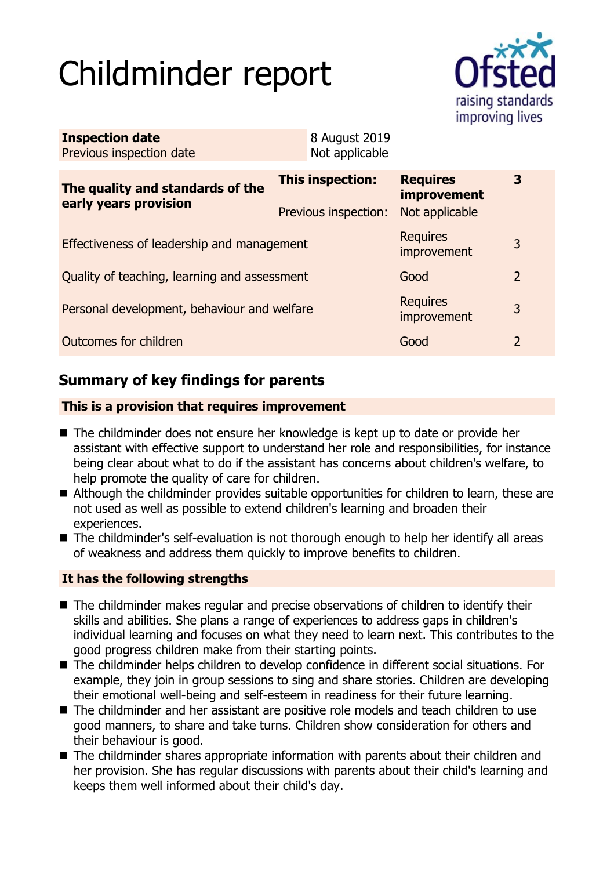# Childminder report



| <b>Inspection date</b><br>Previous inspection date        | 8 August 2019<br>Not applicable                 |                                                         |                |  |
|-----------------------------------------------------------|-------------------------------------------------|---------------------------------------------------------|----------------|--|
| The quality and standards of the<br>early years provision | <b>This inspection:</b><br>Previous inspection: | <b>Requires</b><br><b>improvement</b><br>Not applicable | 3              |  |
| Effectiveness of leadership and management                |                                                 | <b>Requires</b><br>improvement                          | 3              |  |
| Quality of teaching, learning and assessment              |                                                 | Good                                                    | $\overline{2}$ |  |
| Personal development, behaviour and welfare               |                                                 | <b>Requires</b><br>improvement                          | 3              |  |
| Outcomes for children                                     |                                                 | Good                                                    | $\overline{2}$ |  |

# **Summary of key findings for parents**

### **This is a provision that requires improvement**

- The childminder does not ensure her knowledge is kept up to date or provide her assistant with effective support to understand her role and responsibilities, for instance being clear about what to do if the assistant has concerns about children's welfare, to help promote the quality of care for children.
- Although the childminder provides suitable opportunities for children to learn, these are not used as well as possible to extend children's learning and broaden their experiences.
- The childminder's self-evaluation is not thorough enough to help her identify all areas of weakness and address them quickly to improve benefits to children.

### **It has the following strengths**

- $\blacksquare$  The childminder makes regular and precise observations of children to identify their skills and abilities. She plans a range of experiences to address gaps in children's individual learning and focuses on what they need to learn next. This contributes to the good progress children make from their starting points.
- $\blacksquare$  The childminder helps children to develop confidence in different social situations. For example, they join in group sessions to sing and share stories. Children are developing their emotional well-being and self-esteem in readiness for their future learning.
- $\blacksquare$  The childminder and her assistant are positive role models and teach children to use good manners, to share and take turns. Children show consideration for others and their behaviour is good.
- $\blacksquare$  The childminder shares appropriate information with parents about their children and her provision. She has regular discussions with parents about their child's learning and keeps them well informed about their child's day.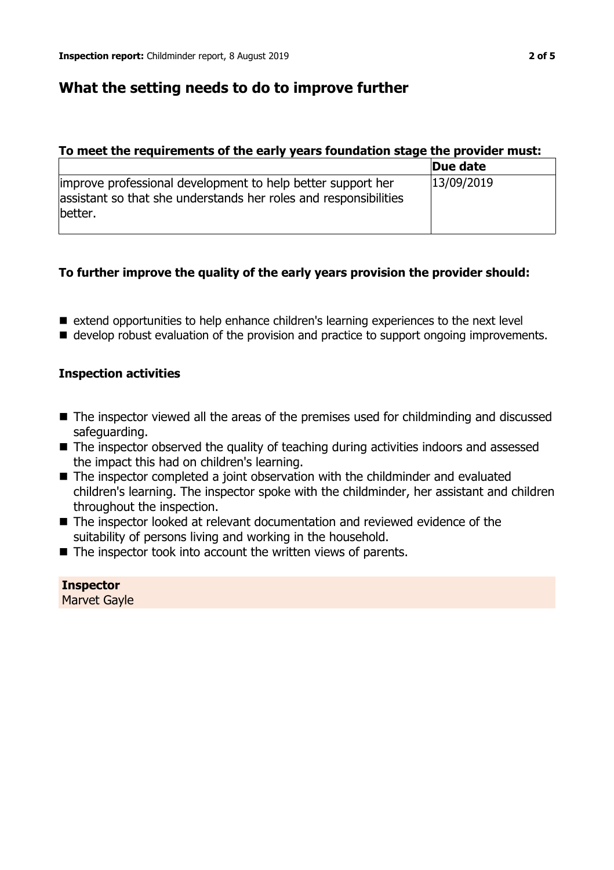# **What the setting needs to do to improve further**

### **To meet the requirements of the early years foundation stage the provider must:**

|                                                                                                                                            | Due date   |
|--------------------------------------------------------------------------------------------------------------------------------------------|------------|
| improve professional development to help better support her<br>assistant so that she understands her roles and responsibilities<br>better. | 13/09/2019 |

## **To further improve the quality of the early years provision the provider should:**

- extend opportunities to help enhance children's learning experiences to the next level
- develop robust evaluation of the provision and practice to support ongoing improvements.

## **Inspection activities**

- $\blacksquare$  The inspector viewed all the areas of the premises used for childminding and discussed safeguarding.
- $\blacksquare$  The inspector observed the quality of teaching during activities indoors and assessed the impact this had on children's learning.
- $\blacksquare$  The inspector completed a joint observation with the childminder and evaluated children's learning. The inspector spoke with the childminder, her assistant and children throughout the inspection.
- $\blacksquare$  The inspector looked at relevant documentation and reviewed evidence of the suitability of persons living and working in the household.
- $\blacksquare$  The inspector took into account the written views of parents.

**Inspector** Marvet Gayle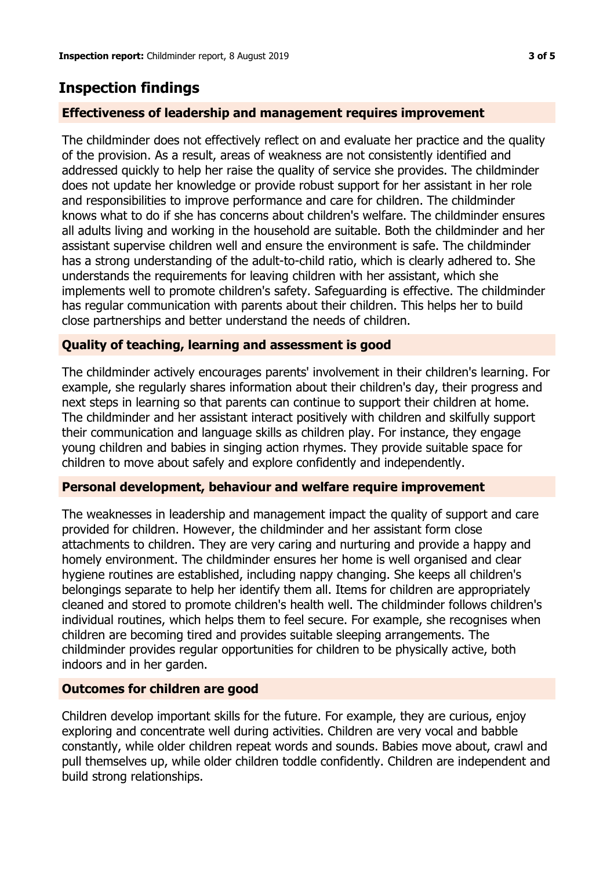# **Inspection findings**

#### **Effectiveness of leadership and management requires improvement**

The childminder does not effectively reflect on and evaluate her practice and the quality of the provision. As a result, areas of weakness are not consistently identified and addressed quickly to help her raise the quality of service she provides. The childminder does not update her knowledge or provide robust support for her assistant in her role and responsibilities to improve performance and care for children. The childminder knows what to do if she has concerns about children's welfare. The childminder ensures all adults living and working in the household are suitable. Both the childminder and her assistant supervise children well and ensure the environment is safe. The childminder has a strong understanding of the adult-to-child ratio, which is clearly adhered to. She understands the requirements for leaving children with her assistant, which she implements well to promote children's safety. Safeguarding is effective. The childminder has regular communication with parents about their children. This helps her to build close partnerships and better understand the needs of children.

#### **Quality of teaching, learning and assessment is good**

The childminder actively encourages parents' involvement in their children's learning. For example, she regularly shares information about their children's day, their progress and next steps in learning so that parents can continue to support their children at home. The childminder and her assistant interact positively with children and skilfully support their communication and language skills as children play. For instance, they engage young children and babies in singing action rhymes. They provide suitable space for children to move about safely and explore confidently and independently.

#### **Personal development, behaviour and welfare require improvement**

The weaknesses in leadership and management impact the quality of support and care provided for children. However, the childminder and her assistant form close attachments to children. They are very caring and nurturing and provide a happy and homely environment. The childminder ensures her home is well organised and clear hygiene routines are established, including nappy changing. She keeps all children's belongings separate to help her identify them all. Items for children are appropriately cleaned and stored to promote children's health well. The childminder follows children's individual routines, which helps them to feel secure. For example, she recognises when children are becoming tired and provides suitable sleeping arrangements. The childminder provides regular opportunities for children to be physically active, both indoors and in her garden.

#### **Outcomes for children are good**

Children develop important skills for the future. For example, they are curious, enjoy exploring and concentrate well during activities. Children are very vocal and babble constantly, while older children repeat words and sounds. Babies move about, crawl and pull themselves up, while older children toddle confidently. Children are independent and build strong relationships.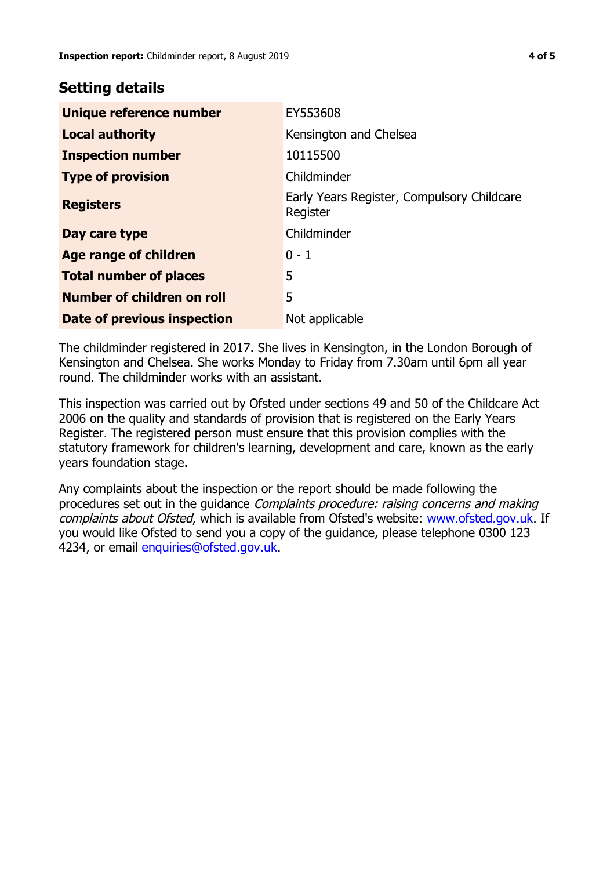## **Setting details**

| Unique reference number       | EY553608                                               |
|-------------------------------|--------------------------------------------------------|
| <b>Local authority</b>        | Kensington and Chelsea                                 |
| <b>Inspection number</b>      | 10115500                                               |
| <b>Type of provision</b>      | Childminder                                            |
| <b>Registers</b>              | Early Years Register, Compulsory Childcare<br>Register |
| Day care type                 | Childminder                                            |
| <b>Age range of children</b>  | $0 - 1$                                                |
| <b>Total number of places</b> | 5                                                      |
| Number of children on roll    | 5                                                      |
| Date of previous inspection   | Not applicable                                         |

The childminder registered in 2017. She lives in Kensington, in the London Borough of Kensington and Chelsea. She works Monday to Friday from 7.30am until 6pm all year round. The childminder works with an assistant.

This inspection was carried out by Ofsted under sections 49 and 50 of the Childcare Act 2006 on the quality and standards of provision that is registered on the Early Years Register. The registered person must ensure that this provision complies with the statutory framework for children's learning, development and care, known as the early years foundation stage.

Any complaints about the inspection or the report should be made following the procedures set out in the guidance Complaints procedure: raising concerns and making complaints about Ofsted, which is available from Ofsted's website: www.ofsted.gov.uk. If you would like Ofsted to send you a copy of the guidance, please telephone 0300 123 4234, or email [enquiries@ofsted.gov.uk.](mailto:enquiries@ofsted.gov.uk)